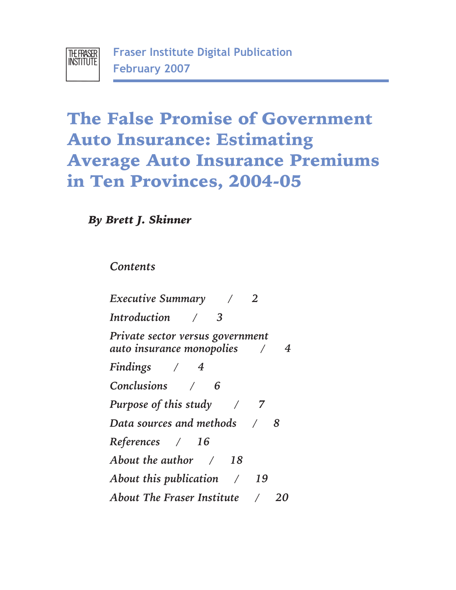

# **The False Promise of Government Average Auto Insurance Premiums Average Automas 2004.05 in Ten Provinces, 2004-05**

*By Brett J. Skinner*

*Contents*

*Executive Summary / 2 Introduction / 3 Private sector versus government auto insurance monopolies / 4 Findings / 4 Conclusions / 6 Purpose of this study / 7 Data sources and methods / 8 References / 16 About the author / 18 About this publication / 19 About The Fraser Institute / 20*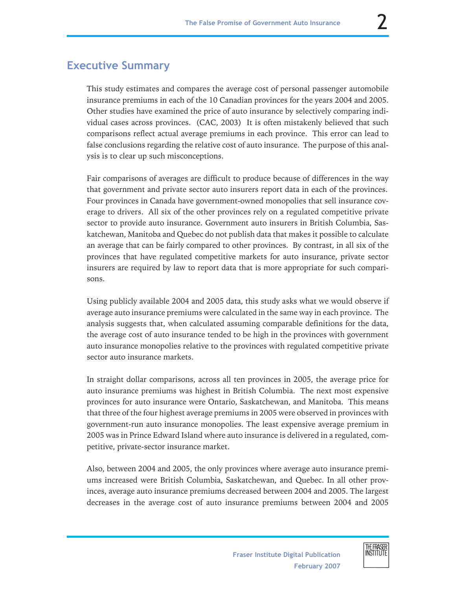# **Executive Summary**

This study estimates and compares the average cost of personal passenger automobile insurance premiums in each of the 10 Canadian provinces for the years 2004 and 2005. Other studies have examined the price of auto insurance by selectively comparing individual cases across provinces. (CAC, 2003) It is often mistakenly believed that such comparisons reflect actual average premiums in each province. This error can lead to false conclusions regarding the relative cost of auto insurance. The purpose of this analysis is to clear up such misconceptions.

Fair comparisons of averages are difficult to produce because of differences in the way that government and private sector auto insurers report data in each of the provinces. Four provinces in Canada have government-owned monopolies that sell insurance coverage to drivers. All six of the other provinces rely on a regulated competitive private sector to provide auto insurance. Government auto insurers in British Columbia, Saskatchewan, Manitoba and Quebec do not publish data that makes it possible to calculate an average that can be fairly compared to other provinces. By contrast, in all six of the provinces that have regulated competitive markets for auto insurance, private sector insurers are required by law to report data that is more appropriate for such comparisons.

Using publicly available 2004 and 2005 data, this study asks what we would observe if average auto insurance premiums were calculated in the same way in each province. The analysis suggests that, when calculated assuming comparable definitions for the data, the average cost of auto insurance tended to be high in the provinces with government auto insurance monopolies relative to the provinces with regulated competitive private sector auto insurance markets.

In straight dollar comparisons, across all ten provinces in 2005, the average price for auto insurance premiums was highest in British Columbia. The next most expensive provinces for auto insurance were Ontario, Saskatchewan, and Manitoba. This means that three of the four highest average premiums in 2005 were observed in provinces with government-run auto insurance monopolies. The least expensive average premium in 2005 was in Prince Edward Island where auto insurance is delivered in a regulated, competitive, private-sector insurance market.

Also, between 2004 and 2005, the only provinces where average auto insurance premiums increased were British Columbia, Saskatchewan, and Quebec. In all other provinces, average auto insurance premiums decreased between 2004 and 2005. The largest decreases in the average cost of auto insurance premiums between 2004 and 2005



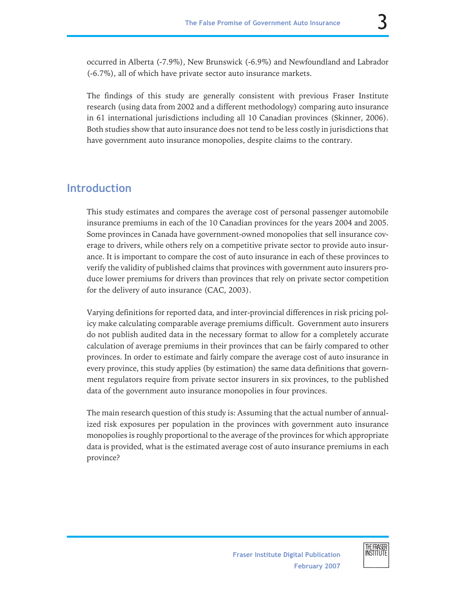occurred in Alberta (-7.9%), New Brunswick (-6.9%) and Newfoundland and Labrador (-6.7%), all of which have private sector auto insurance markets.

The findings of this study are generally consistent with previous Fraser Institute research (using data from 2002 and a different methodology) comparing auto insurance in 61 international jurisdictions including all 10 Canadian provinces (Skinner, 2006). Both studies show that auto insurance does not tend to be less costly in jurisdictions that have government auto insurance monopolies, despite claims to the contrary.

# **Introduction**

This study estimates and compares the average cost of personal passenger automobile insurance premiums in each of the 10 Canadian provinces for the years 2004 and 2005. Some provinces in Canada have government-owned monopolies that sell insurance coverage to drivers, while others rely on a competitive private sector to provide auto insurance. It is important to compare the cost of auto insurance in each of these provinces to verify the validity of published claims that provinces with government auto insurers produce lower premiums for drivers than provinces that rely on private sector competition for the delivery of auto insurance (CAC, 2003).

Varying definitions for reported data, and inter-provincial differences in risk pricing policy make calculating comparable average premiums difficult. Government auto insurers do not publish audited data in the necessary format to allow for a completely accurate calculation of average premiums in their provinces that can be fairly compared to other provinces. In order to estimate and fairly compare the average cost of auto insurance in every province, this study applies (by estimation) the same data definitions that government regulators require from private sector insurers in six provinces, to the published data of the government auto insurance monopolies in four provinces.

The main research question of this study is: Assuming that the actual number of annualized risk exposures per population in the provinces with government auto insurance monopolies is roughly proportional to the average of the provinces for which appropriate data is provided, what is the estimated average cost of auto insurance premiums in each province?

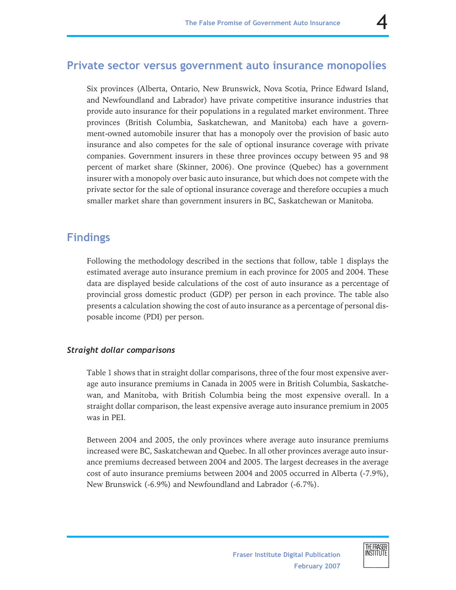### **Private sector versus government auto insurance monopolies**

Six provinces (Alberta, Ontario, New Brunswick, Nova Scotia, Prince Edward Island, and Newfoundland and Labrador) have private competitive insurance industries that provide auto insurance for their populations in a regulated market environment. Three provinces (British Columbia, Saskatchewan, and Manitoba) each have a government-owned automobile insurer that has a monopoly over the provision of basic auto insurance and also competes for the sale of optional insurance coverage with private companies. Government insurers in these three provinces occupy between 95 and 98 percent of market share (Skinner, 2006). One province (Quebec) has a government insurer with a monopoly over basic auto insurance, but which does not compete with the private sector for the sale of optional insurance coverage and therefore occupies a much smaller market share than government insurers in BC, Saskatchewan or Manitoba.

### **Findings**

Following the methodology described in the sections that follow, table 1 displays the estimated average auto insurance premium in each province for 2005 and 2004. These data are displayed beside calculations of the cost of auto insurance as a percentage of provincial gross domestic product (GDP) per person in each province. The table also presents a calculation showing the cost of auto insurance as a percentage of personal disposable income (PDI) per person.

### *Straight dollar comparisons*

Table 1 shows that in straight dollar comparisons, three of the four most expensive average auto insurance premiums in Canada in 2005 were in British Columbia, Saskatchewan, and Manitoba, with British Columbia being the most expensive overall. In a straight dollar comparison, the least expensive average auto insurance premium in 2005 was in PEI.

Between 2004 and 2005, the only provinces where average auto insurance premiums increased were BC, Saskatchewan and Quebec. In all other provinces average auto insurance premiums decreased between 2004 and 2005. The largest decreases in the average cost of auto insurance premiums between 2004 and 2005 occurred in Alberta (-7.9%), New Brunswick (-6.9%) and Newfoundland and Labrador (-6.7%).

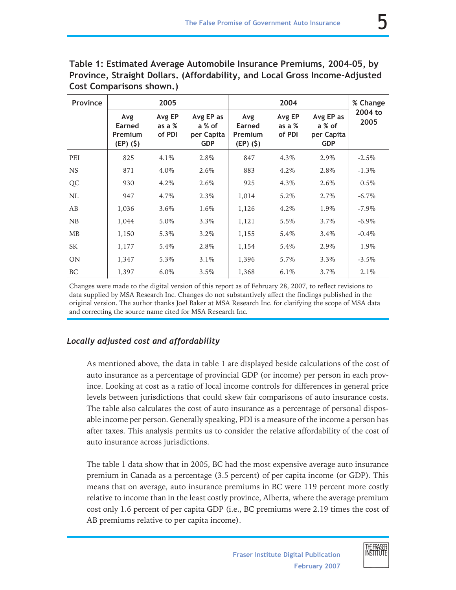| Province  | 2005                                          |                            |                                                 | 2004                                   |                              |                                                 | % Change        |
|-----------|-----------------------------------------------|----------------------------|-------------------------------------------------|----------------------------------------|------------------------------|-------------------------------------------------|-----------------|
|           | Avg<br>Earned<br><b>Premium</b><br>$(EP)(\$)$ | Avg EP<br>as a %<br>of PDI | Avg EP as<br>a % of<br>per Capita<br><b>GDP</b> | Avg<br>Earned<br>Premium<br>$(EP)(\$)$ | Avg EP<br>as a $%$<br>of PDI | Avg EP as<br>a % of<br>per Capita<br><b>GDP</b> | 2004 to<br>2005 |
| PEI       | 825                                           | 4.1%                       | 2.8%                                            | 847                                    | 4.3%                         | 2.9%                                            | $-2.5\%$        |
| <b>NS</b> | 871                                           | 4.0%                       | 2.6%                                            | 883                                    | 4.2%                         | 2.8%                                            | $-1.3\%$        |
| QC        | 930                                           | 4.2%                       | 2.6%                                            | 925                                    | 4.3%                         | 2.6%                                            | $0.5\%$         |
| NL        | 947                                           | 4.7%                       | $2.3\%$                                         | 1,014                                  | 5.2%                         | $2.7\%$                                         | $-6.7\%$        |
| AB        | 1,036                                         | 3.6%                       | 1.6%                                            | 1,126                                  | 4.2%                         | 1.9%                                            | $-7.9\%$        |
| NB        | 1,044                                         | 5.0%                       | $3.3\%$                                         | 1,121                                  | 5.5%                         | 3.7%                                            | $-6.9\%$        |
| <b>MB</b> | 1,150                                         | 5.3%                       | 3.2%                                            | 1,155                                  | 5.4%                         | 3.4%                                            | $-0.4\%$        |
| SK        | 1,177                                         | 5.4%                       | 2.8%                                            | 1,154                                  | 5.4%                         | 2.9%                                            | 1.9%            |
| <b>ON</b> | 1,347                                         | 5.3%                       | $3.1\%$                                         | 1,396                                  | 5.7%                         | $3.3\%$                                         | $-3.5\%$        |
| <b>BC</b> | 1.397                                         | $6.0\%$                    | $3.5\%$                                         | 1,368                                  | 6.1%                         | 3.7%                                            | 2.1%            |

**Table 1: Estimated Average Automobile Insurance Premiums, 2004-05, by Province, Straight Dollars. (Affordability, and Local Gross Income-Adjusted Cost Comparisons shown.)**

Changes were made to the digital version of this report as of February 28, 2007, to reflect revisions to data supplied by MSA Research Inc. Changes do not substantively affect the findings published in the original version. The author thanks Joel Baker at MSA Research Inc. for clarifying the scope of MSA data and correcting the source name cited for MSA Research Inc.

### *Locally adjusted cost and affordability*

As mentioned above, the data in table 1 are displayed beside calculations of the cost of auto insurance as a percentage of provincial GDP (or income) per person in each province. Looking at cost as a ratio of local income controls for differences in general price levels between jurisdictions that could skew fair comparisons of auto insurance costs. The table also calculates the cost of auto insurance as a percentage of personal disposable income per person. Generally speaking, PDI is a measure of the income a person has after taxes. This analysis permits us to consider the relative affordability of the cost of auto insurance across jurisdictions.

The table 1 data show that in 2005, BC had the most expensive average auto insurance premium in Canada as a percentage (3.5 percent) of per capita income (or GDP). This means that on average, auto insurance premiums in BC were 119 percent more costly relative to income than in the least costly province, Alberta, where the average premium cost only 1.6 percent of per capita GDP (i.e., BC premiums were 2.19 times the cost of AB premiums relative to per capita income).

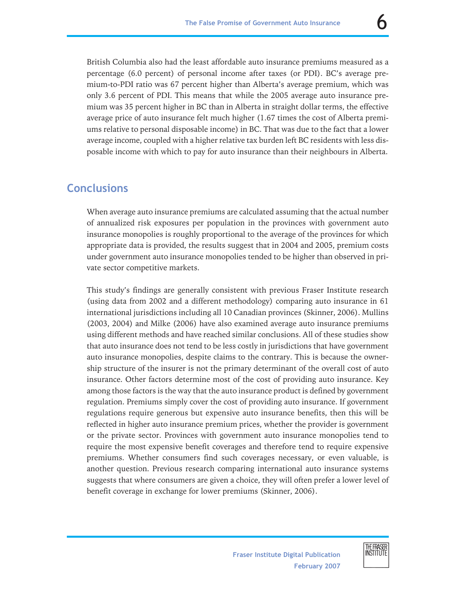British Columbia also had the least affordable auto insurance premiums measured as a percentage (6.0 percent) of personal income after taxes (or PDI). BC's average premium-to-PDI ratio was 67 percent higher than Alberta's average premium, which was only 3.6 percent of PDI. This means that while the 2005 average auto insurance premium was 35 percent higher in BC than in Alberta in straight dollar terms, the effective average price of auto insurance felt much higher (1.67 times the cost of Alberta premiums relative to personal disposable income) in BC. That was due to the fact that a lower average income, coupled with a higher relative tax burden left BC residents with less disposable income with which to pay for auto insurance than their neighbours in Alberta.

### **Conclusions**

When average auto insurance premiums are calculated assuming that the actual number of annualized risk exposures per population in the provinces with government auto insurance monopolies is roughly proportional to the average of the provinces for which appropriate data is provided, the results suggest that in 2004 and 2005, premium costs under government auto insurance monopolies tended to be higher than observed in private sector competitive markets.

This study's findings are generally consistent with previous Fraser Institute research (using data from 2002 and a different methodology) comparing auto insurance in 61 international jurisdictions including all 10 Canadian provinces (Skinner, 2006). Mullins (2003, 2004) and Milke (2006) have also examined average auto insurance premiums using different methods and have reached similar conclusions. All of these studies show that auto insurance does not tend to be less costly in jurisdictions that have government auto insurance monopolies, despite claims to the contrary. This is because the ownership structure of the insurer is not the primary determinant of the overall cost of auto insurance. Other factors determine most of the cost of providing auto insurance. Key among those factors is the way that the auto insurance product is defined by government regulation. Premiums simply cover the cost of providing auto insurance. If government regulations require generous but expensive auto insurance benefits, then this will be reflected in higher auto insurance premium prices, whether the provider is government or the private sector. Provinces with government auto insurance monopolies tend to require the most expensive benefit coverages and therefore tend to require expensive premiums. Whether consumers find such coverages necessary, or even valuable, is another question. Previous research comparing international auto insurance systems suggests that where consumers are given a choice, they will often prefer a lower level of benefit coverage in exchange for lower premiums (Skinner, 2006).

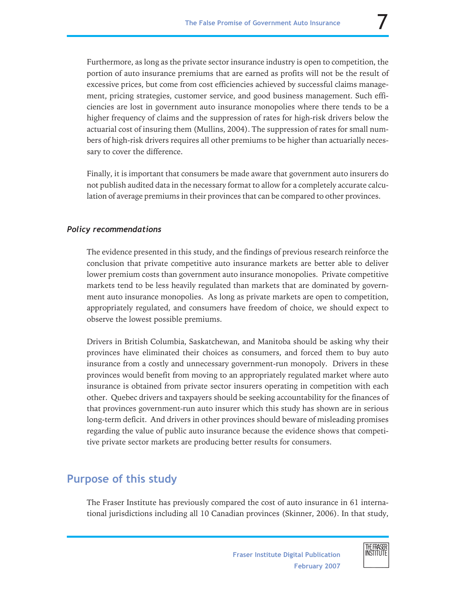Furthermore, as long as the private sector insurance industry is open to competition, the portion of auto insurance premiums that are earned as profits will not be the result of excessive prices, but come from cost efficiencies achieved by successful claims management, pricing strategies, customer service, and good business management. Such efficiencies are lost in government auto insurance monopolies where there tends to be a higher frequency of claims and the suppression of rates for high-risk drivers below the actuarial cost of insuring them (Mullins, 2004). The suppression of rates for small numbers of high-risk drivers requires all other premiums to be higher than actuarially necessary to cover the difference.

Finally, it is important that consumers be made aware that government auto insurers do not publish audited data in the necessary format to allow for a completely accurate calculation of average premiums in their provinces that can be compared to other provinces.

### *Policy recommendations*

The evidence presented in this study, and the findings of previous research reinforce the conclusion that private competitive auto insurance markets are better able to deliver lower premium costs than government auto insurance monopolies. Private competitive markets tend to be less heavily regulated than markets that are dominated by government auto insurance monopolies. As long as private markets are open to competition, appropriately regulated, and consumers have freedom of choice, we should expect to observe the lowest possible premiums.

Drivers in British Columbia, Saskatchewan, and Manitoba should be asking why their provinces have eliminated their choices as consumers, and forced them to buy auto insurance from a costly and unnecessary government-run monopoly. Drivers in these provinces would benefit from moving to an appropriately regulated market where auto insurance is obtained from private sector insurers operating in competition with each other. Quebec drivers and taxpayers should be seeking accountability for the finances of that provinces government-run auto insurer which this study has shown are in serious long-term deficit. And drivers in other provinces should beware of misleading promises regarding the value of public auto insurance because the evidence shows that competitive private sector markets are producing better results for consumers.

### **Purpose of this study**

The Fraser Institute has previously compared the cost of auto insurance in 61 international jurisdictions including all 10 Canadian provinces (Skinner, 2006). In that study,

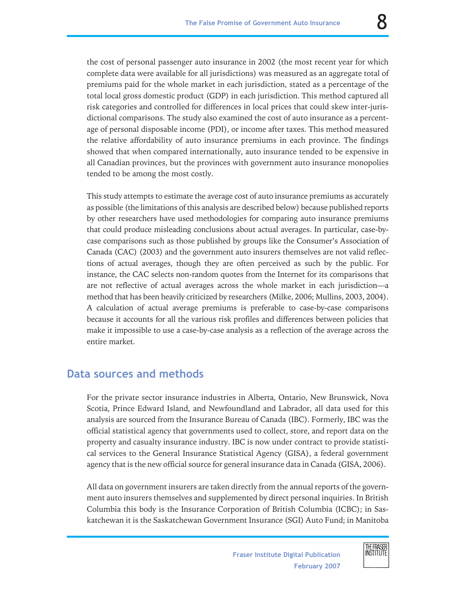the cost of personal passenger auto insurance in 2002 (the most recent year for which complete data were available for all jurisdictions) was measured as an aggregate total of premiums paid for the whole market in each jurisdiction, stated as a percentage of the total local gross domestic product (GDP) in each jurisdiction. This method captured all risk categories and controlled for differences in local prices that could skew inter-jurisdictional comparisons. The study also examined the cost of auto insurance as a percentage of personal disposable income (PDI), or income after taxes. This method measured the relative affordability of auto insurance premiums in each province. The findings showed that when compared internationally, auto insurance tended to be expensive in all Canadian provinces, but the provinces with government auto insurance monopolies tended to be among the most costly.

This study attempts to estimate the average cost of auto insurance premiums as accurately as possible (the limitations of this analysis are described below) because published reports by other researchers have used methodologies for comparing auto insurance premiums that could produce misleading conclusions about actual averages. In particular, case-bycase comparisons such as those published by groups like the Consumer's Association of Canada (CAC) (2003) and the government auto insurers themselves are not valid reflections of actual averages, though they are often perceived as such by the public. For instance, the CAC selects non-random quotes from the Internet for its comparisons that are not reflective of actual averages across the whole market in each jurisdiction—a method that has been heavily criticized by researchers (Milke, 2006; Mullins, 2003, 2004). A calculation of actual average premiums is preferable to case-by-case comparisons because it accounts for all the various risk profiles and differences between policies that make it impossible to use a case-by-case analysis as a reflection of the average across the entire market.

### **Data sources and methods**

For the private sector insurance industries in Alberta, Ontario, New Brunswick, Nova Scotia, Prince Edward Island, and Newfoundland and Labrador, all data used for this analysis are sourced from the Insurance Bureau of Canada (IBC). Formerly, IBC was the official statistical agency that governments used to collect, store, and report data on the property and casualty insurance industry. IBC is now under contract to provide statistical services to the General Insurance Statistical Agency (GISA), a federal government agency that is the new official source for general insurance data in Canada (GISA, 2006).

All data on government insurers are taken directly from the annual reports of the government auto insurers themselves and supplemented by direct personal inquiries. In British Columbia this body is the Insurance Corporation of British Columbia (ICBC); in Saskatchewan it is the Saskatchewan Government Insurance (SGI) Auto Fund; in Manitoba

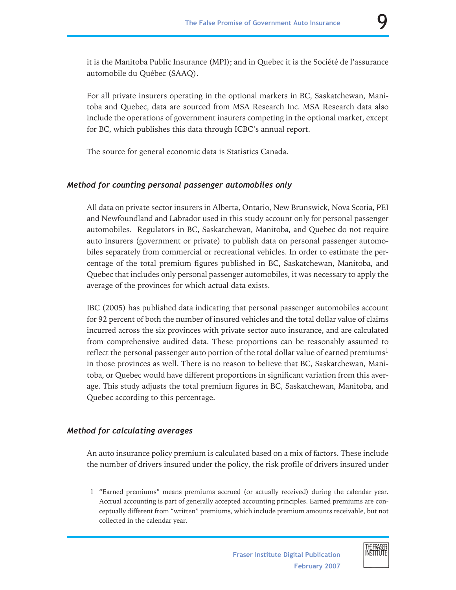it is the Manitoba Public Insurance (MPI); and in Quebec it is the Société de l'assurance automobile du Québec (SAAQ).

For all private insurers operating in the optional markets in BC, Saskatchewan, Manitoba and Quebec, data are sourced from MSA Research Inc. MSA Research data also include the operations of government insurers competing in the optional market, except for BC, which publishes this data through ICBC's annual report.

The source for general economic data is Statistics Canada.

### *Method for counting personal passenger automobiles only*

All data on private sector insurers in Alberta, Ontario, New Brunswick, Nova Scotia, PEI and Newfoundland and Labrador used in this study account only for personal passenger automobiles. Regulators in BC, Saskatchewan, Manitoba, and Quebec do not require auto insurers (government or private) to publish data on personal passenger automobiles separately from commercial or recreational vehicles. In order to estimate the percentage of the total premium figures published in BC, Saskatchewan, Manitoba, and Quebec that includes only personal passenger automobiles, it was necessary to apply the average of the provinces for which actual data exists.

IBC (2005) has published data indicating that personal passenger automobiles account for 92 percent of both the number of insured vehicles and the total dollar value of claims incurred across the six provinces with private sector auto insurance, and are calculated from comprehensive audited data. These proportions can be reasonably assumed to reflect the personal passenger auto portion of the total dollar value of earned premiums<sup>1</sup> in those provinces as well. There is no reason to believe that BC, Saskatchewan, Manitoba, or Quebec would have different proportions in significant variation from this average. This study adjusts the total premium figures in BC, Saskatchewan, Manitoba, and Quebec according to this percentage.

#### *Method for calculating averages*

An auto insurance policy premium is calculated based on a mix of factors. These include the number of drivers insured under the policy, the risk profile of drivers insured under

<sup>1 &</sup>quot;Earned premiums" means premiums accrued (or actually received) during the calendar year. Accrual accounting is part of generally accepted accounting principles. Earned premiums are conceptually different from "written" premiums, which include premium amounts receivable, but not collected in the calendar year.



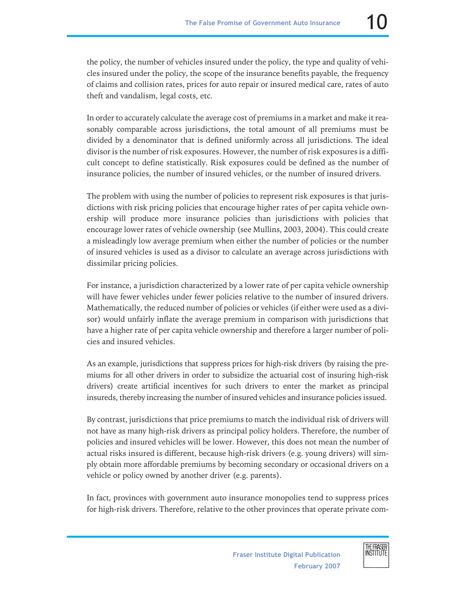the policy, the number of vehicles insured under the policy, the type and quality of vehicles insured under the policy, the scope of the insurance benefits payable, the frequency of claims and collision rates, prices for auto repair or insured medical care, rates of auto theft and vandalism, legal costs, etc.

In order to accurately calculate the average cost of premiums in a market and make it reasonably comparable across jurisdictions, the total amount of all premiums must be divided by a denominator that is defined uniformly across all jurisdictions. The ideal divisor is the number of risk exposures. However, the number of risk exposures is a difficult concept to define statistically. Risk exposures could be defined as the number of insurance policies, the number of insured vehicles, or the number of insured drivers.

The problem with using the number of policies to represent risk exposures is that jurisdictions with risk pricing policies that encourage higher rates of per capita vehicle ownership will produce more insurance policies than jurisdictions with policies that encourage lower rates of vehicle ownership (see Mullins, 2003, 2004). This could create a misleadingly low average premium when either the number of policies or the number of insured vehicles is used as a divisor to calculate an average across jurisdictions with dissimilar pricing policies.

For instance, a jurisdiction characterized by a lower rate of per capita vehicle ownership will have fewer vehicles under fewer policies relative to the number of insured drivers. Mathematically, the reduced number of policies or vehicles (if either were used as a divisor) would unfairly inflate the average premium in comparison with jurisdictions that have a higher rate of per capita vehicle ownership and therefore a larger number of policies and insured vehicles.

As an example, jurisdictions that suppress prices for high-risk drivers (by raising the premiums for all other drivers in order to subsidize the actuarial cost of insuring high-risk drivers) create artificial incentives for such drivers to enter the market as principal insureds, thereby increasing the number of insured vehicles and insurance policies issued.

By contrast, jurisdictions that price premiums to match the individual risk of drivers will not have as many high-risk drivers as principal policy holders. Therefore, the number of policies and insured vehicles will be lower. However, this does not mean the number of actual risks insured is different, because high-risk drivers (e.g. young drivers) will simply obtain more affordable premiums by becoming secondary or occasional drivers on a vehicle or policy owned by another driver (e.g. parents).

In fact, provinces with government auto insurance monopolies tend to suppress prices for high-risk drivers. Therefore, relative to the other provinces that operate private com-



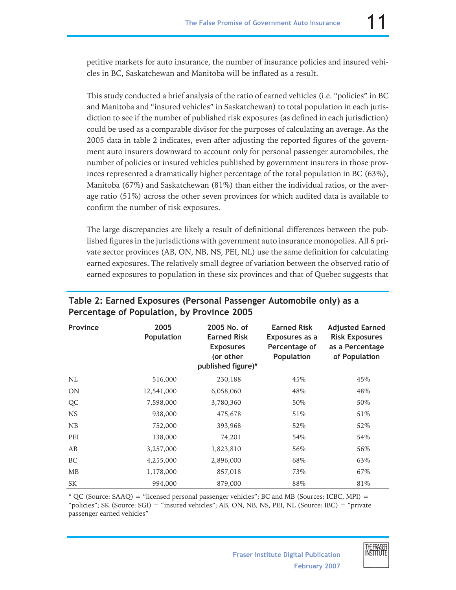petitive markets for auto insurance, the number of insurance policies and insured vehicles in BC, Saskatchewan and Manitoba will be inflated as a result.

This study conducted a brief analysis of the ratio of earned vehicles (i.e. "policies" in BC and Manitoba and "insured vehicles" in Saskatchewan) to total population in each jurisdiction to see if the number of published risk exposures (as defined in each jurisdiction) could be used as a comparable divisor for the purposes of calculating an average. As the 2005 data in table 2 indicates, even after adjusting the reported figures of the government auto insurers downward to account only for personal passenger automobiles, the number of policies or insured vehicles published by government insurers in those provinces represented a dramatically higher percentage of the total population in BC (63%), Manitoba (67%) and Saskatchewan (81%) than either the individual ratios, or the average ratio (51%) across the other seven provinces for which audited data is available to confirm the number of risk exposures.

The large discrepancies are likely a result of definitional differences between the published figures in the jurisdictions with government auto insurance monopolies. All 6 private sector provinces (AB, ON, NB, NS, PEI, NL) use the same definition for calculating earned exposures. The relatively small degree of variation between the observed ratio of earned exposures to population in these six provinces and that of Quebec suggests that

| Province  | 2005<br>Population | 2005 No. of<br><b>Earned Risk</b><br><b>Exposures</b><br>(or other<br>published figure)* | <b>Earned Risk</b><br>Exposures as a<br>Percentage of<br>Population | <b>Adjusted Earned</b><br><b>Risk Exposures</b><br>as a Percentage<br>of Population |
|-----------|--------------------|------------------------------------------------------------------------------------------|---------------------------------------------------------------------|-------------------------------------------------------------------------------------|
| NL        | 516,000            | 230,188                                                                                  | 45%                                                                 | 45%                                                                                 |
| <b>ON</b> | 12,541,000         | 6,058,060                                                                                | 48%                                                                 | 48%                                                                                 |
| QC        | 7,598,000          | 3,780,360                                                                                | 50%                                                                 | 50%                                                                                 |
| <b>NS</b> | 938,000            | 475,678                                                                                  | 51\%                                                                | 51%                                                                                 |
| NB        | 752,000            | 393,968                                                                                  | 52%                                                                 | 52%                                                                                 |
| PEI       | 138,000            | 74,201                                                                                   | 54%                                                                 | 54%                                                                                 |
| AB        | 3,257,000          | 1,823,810                                                                                | 56%                                                                 | 56%                                                                                 |
| BC        | 4,255,000          | 2,896,000                                                                                | 68%                                                                 | 63%                                                                                 |
| MB        | 1,178,000          | 857,018                                                                                  | 73%                                                                 | 67%                                                                                 |
| SK        | 994,000            | 879,000                                                                                  | 88%                                                                 | 81%                                                                                 |

### **Table 2: Earned Exposures (Personal Passenger Automobile only) as a Percentage of Population, by Province 2005**

\* QC (Source: SAAQ) = "licensed personal passenger vehicles"; BC and MB (Sources: ICBC, MPI) = "policies"; SK (Source: SGI) = "insured vehicles"; AB, ON, NB, NS, PEI, NL (Source: IBC) = "private passenger earned vehicles"

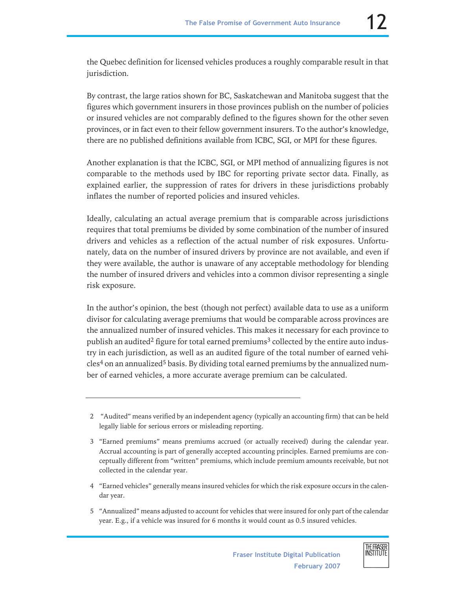the Quebec definition for licensed vehicles produces a roughly comparable result in that jurisdiction.

By contrast, the large ratios shown for BC, Saskatchewan and Manitoba suggest that the figures which government insurers in those provinces publish on the number of policies or insured vehicles are not comparably defined to the figures shown for the other seven provinces, or in fact even to their fellow government insurers. To the author's knowledge, there are no published definitions available from ICBC, SGI, or MPI for these figures.

Another explanation is that the ICBC, SGI, or MPI method of annualizing figures is not comparable to the methods used by IBC for reporting private sector data. Finally, as explained earlier, the suppression of rates for drivers in these jurisdictions probably inflates the number of reported policies and insured vehicles.

Ideally, calculating an actual average premium that is comparable across jurisdictions requires that total premiums be divided by some combination of the number of insured drivers and vehicles as a reflection of the actual number of risk exposures. Unfortunately, data on the number of insured drivers by province are not available, and even if they were available, the author is unaware of any acceptable methodology for blending the number of insured drivers and vehicles into a common divisor representing a single risk exposure.

In the author's opinion, the best (though not perfect) available data to use as a uniform divisor for calculating average premiums that would be comparable across provinces are the annualized number of insured vehicles. This makes it necessary for each province to publish an audited<sup>2</sup> figure for total earned premiums<sup>3</sup> collected by the entire auto industry in each jurisdiction, as well as an audited figure of the total number of earned vehi- $\text{cles}^4$  on an annualized<sup>5</sup> basis. By dividing total earned premiums by the annualized number of earned vehicles, a more accurate average premium can be calculated.

5 "Annualized" means adjusted to account for vehicles that were insured for only part of the calendar year. E.g., if a vehicle was insured for 6 months it would count as 0.5 insured vehicles.



<sup>2 &</sup>quot;Audited" means verified by an independent agency (typically an accounting firm) that can be held legally liable for serious errors or misleading reporting.

<sup>3 &</sup>quot;Earned premiums" means premiums accrued (or actually received) during the calendar year. Accrual accounting is part of generally accepted accounting principles. Earned premiums are conceptually different from "written" premiums, which include premium amounts receivable, but not collected in the calendar year.

<sup>4 &</sup>quot;Earned vehicles" generally means insured vehicles for which the risk exposure occurs in the calendar year.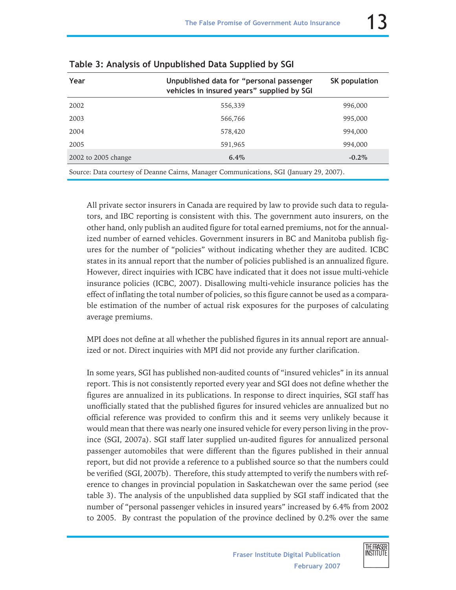| Year                                                                                    | Unpublished data for "personal passenger<br>vehicles in insured years" supplied by SGI | <b>SK population</b> |  |  |  |
|-----------------------------------------------------------------------------------------|----------------------------------------------------------------------------------------|----------------------|--|--|--|
| 2002                                                                                    | 556,339                                                                                | 996,000              |  |  |  |
| 2003                                                                                    | 566,766                                                                                | 995,000              |  |  |  |
| 2004                                                                                    | 578,420                                                                                | 994,000              |  |  |  |
| 2005                                                                                    | 591,965                                                                                | 994.000              |  |  |  |
| 2002 to 2005 change                                                                     | $6.4\%$                                                                                | $-0.2\%$             |  |  |  |
| Source: Data courtesy of Deanne Cairns, Manager Communications, SGI (January 29, 2007). |                                                                                        |                      |  |  |  |

|  | Table 3: Analysis of Unpublished Data Supplied by SGI |  |  |
|--|-------------------------------------------------------|--|--|
|  |                                                       |  |  |

All private sector insurers in Canada are required by law to provide such data to regulators, and IBC reporting is consistent with this. The government auto insurers, on the other hand, only publish an audited figure for total earned premiums, not for the annualized number of earned vehicles. Government insurers in BC and Manitoba publish figures for the number of "policies" without indicating whether they are audited. ICBC states in its annual report that the number of policies published is an annualized figure. However, direct inquiries with ICBC have indicated that it does not issue multi-vehicle insurance policies (ICBC, 2007). Disallowing multi-vehicle insurance policies has the effect of inflating the total number of policies, so this figure cannot be used as a comparable estimation of the number of actual risk exposures for the purposes of calculating average premiums.

MPI does not define at all whether the published figures in its annual report are annualized or not. Direct inquiries with MPI did not provide any further clarification.

In some years, SGI has published non-audited counts of "insured vehicles" in its annual report. This is not consistently reported every year and SGI does not define whether the figures are annualized in its publications. In response to direct inquiries, SGI staff has unofficially stated that the published figures for insured vehicles are annualized but no official reference was provided to confirm this and it seems very unlikely because it would mean that there was nearly one insured vehicle for every person living in the province (SGI, 2007a). SGI staff later supplied un-audited figures for annualized personal passenger automobiles that were different than the figures published in their annual report, but did not provide a reference to a published source so that the numbers could be verified (SGI, 2007b). Therefore, this study attempted to verify the numbers with reference to changes in provincial population in Saskatchewan over the same period (see table 3). The analysis of the unpublished data supplied by SGI staff indicated that the number of "personal passenger vehicles in insured years" increased by 6.4% from 2002 to 2005. By contrast the population of the province declined by 0.2% over the same

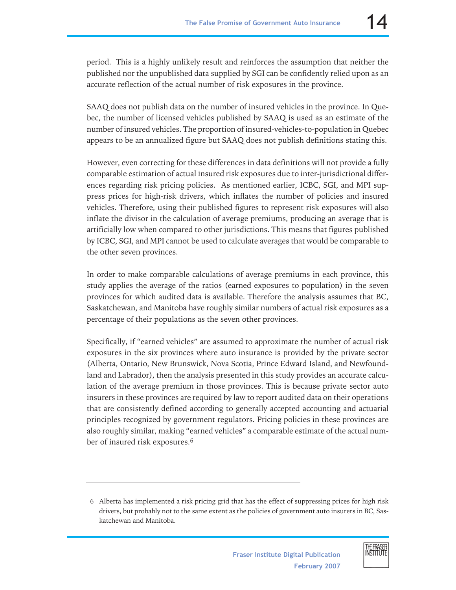period. This is a highly unlikely result and reinforces the assumption that neither the published nor the unpublished data supplied by SGI can be confidently relied upon as an accurate reflection of the actual number of risk exposures in the province.

SAAQ does not publish data on the number of insured vehicles in the province. In Quebec, the number of licensed vehicles published by SAAQ is used as an estimate of the number of insured vehicles. The proportion of insured-vehicles-to-population in Quebec appears to be an annualized figure but SAAQ does not publish definitions stating this.

However, even correcting for these differences in data definitions will not provide a fully comparable estimation of actual insured risk exposures due to inter-jurisdictional differences regarding risk pricing policies. As mentioned earlier, ICBC, SGI, and MPI suppress prices for high-risk drivers, which inflates the number of policies and insured vehicles. Therefore, using their published figures to represent risk exposures will also inflate the divisor in the calculation of average premiums, producing an average that is artificially low when compared to other jurisdictions. This means that figures published by ICBC, SGI, and MPI cannot be used to calculate averages that would be comparable to the other seven provinces.

In order to make comparable calculations of average premiums in each province, this study applies the average of the ratios (earned exposures to population) in the seven provinces for which audited data is available. Therefore the analysis assumes that BC, Saskatchewan, and Manitoba have roughly similar numbers of actual risk exposures as a percentage of their populations as the seven other provinces.

Specifically, if "earned vehicles" are assumed to approximate the number of actual risk exposures in the six provinces where auto insurance is provided by the private sector (Alberta, Ontario, New Brunswick, Nova Scotia, Prince Edward Island, and Newfoundland and Labrador), then the analysis presented in this study provides an accurate calculation of the average premium in those provinces. This is because private sector auto insurers in these provinces are required by law to report audited data on their operations that are consistently defined according to generally accepted accounting and actuarial principles recognized by government regulators. Pricing policies in these provinces are also roughly similar, making "earned vehicles" a comparable estimate of the actual number of insured risk exposures.<sup>6</sup>

<sup>6</sup> Alberta has implemented a risk pricing grid that has the effect of suppressing prices for high risk drivers, but probably not to the same extent as the policies of government auto insurers in BC, Saskatchewan and Manitoba.

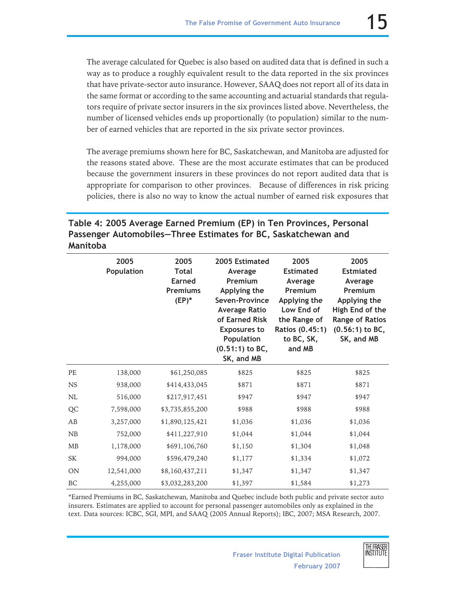The average calculated for Quebec is also based on audited data that is defined in such a way as to produce a roughly equivalent result to the data reported in the six provinces that have private-sector auto insurance. However, SAAQ does not report all of its data in the same format or according to the same accounting and actuarial standards that regulators require of private sector insurers in the six provinces listed above. Nevertheless, the number of licensed vehicles ends up proportionally (to population) similar to the number of earned vehicles that are reported in the six private sector provinces.

The average premiums shown here for BC, Saskatchewan, and Manitoba are adjusted for the reasons stated above. These are the most accurate estimates that can be produced because the government insurers in these provinces do not report audited data that is appropriate for comparison to other provinces. Because of differences in risk pricing policies, there is also no way to know the actual number of earned risk exposures that

**Table 4: 2005 Average Earned Premium (EP) in Ten Provinces, Personal Passenger Automobiles—Three Estimates for BC, Saskatchewan and Manitoba**

|           | 2005<br>Population | 2005<br><b>Total</b><br><b>Earned</b><br><b>Premiums</b><br>$(EP)^*$ | 2005 Estimated<br>Average<br>Premium<br>Applying the<br>Seven-Province<br><b>Average Ratio</b><br>of Earned Risk<br><b>Exposures to</b><br>Population<br>$(0.51:1)$ to BC,<br>SK, and MB | 2005<br><b>Estimated</b><br>Average<br>Premium<br>Applying the<br>Low End of<br>the Range of<br>Ratios (0.45:1)<br>to BC, SK,<br>and MB | 2005<br><b>Estmiated</b><br>Average<br>Premium<br>Applying the<br>High End of the<br><b>Range of Ratios</b><br>$(0.56:1)$ to BC,<br>SK, and MB |
|-----------|--------------------|----------------------------------------------------------------------|------------------------------------------------------------------------------------------------------------------------------------------------------------------------------------------|-----------------------------------------------------------------------------------------------------------------------------------------|------------------------------------------------------------------------------------------------------------------------------------------------|
| PE        | 138,000            | \$61,250,085                                                         | \$825                                                                                                                                                                                    | \$825                                                                                                                                   | \$825                                                                                                                                          |
| <b>NS</b> | 938,000            | \$414,433,045                                                        | \$871                                                                                                                                                                                    | \$871                                                                                                                                   | \$871                                                                                                                                          |
| <b>NL</b> | 516,000            | \$217,917,451                                                        | \$947                                                                                                                                                                                    | \$947                                                                                                                                   | \$947                                                                                                                                          |
| QC        | 7,598,000          | \$3,735,855,200                                                      | \$988                                                                                                                                                                                    | \$988                                                                                                                                   | \$988                                                                                                                                          |
| AB        | 3,257,000          | \$1,890,125,421                                                      | \$1,036                                                                                                                                                                                  | \$1,036                                                                                                                                 | \$1,036                                                                                                                                        |
| NB        | 752,000            | \$411,227,910                                                        | \$1,044                                                                                                                                                                                  | \$1,044                                                                                                                                 | \$1,044                                                                                                                                        |
| <b>MB</b> | 1,178,000          | \$691,106,760                                                        | \$1,150                                                                                                                                                                                  | \$1,304                                                                                                                                 | \$1,048                                                                                                                                        |
| SK        | 994,000            | \$596,479,240                                                        | \$1,177                                                                                                                                                                                  | \$1,334                                                                                                                                 | \$1,072                                                                                                                                        |
| <b>ON</b> | 12,541,000         | \$8,160,437,211                                                      | \$1,347                                                                                                                                                                                  | \$1,347                                                                                                                                 | \$1,347                                                                                                                                        |
| <b>BC</b> | 4,255,000          | \$3,032,283,200                                                      | \$1,397                                                                                                                                                                                  | \$1,584                                                                                                                                 | \$1,273                                                                                                                                        |

\*Earned Premiums in BC, Saskatchewan, Manitoba and Quebec include both public and private sector auto insurers. Estimates are applied to account for personal passenger automobiles only as explained in the text. Data sources: ICBC, SGI, MPI, and SAAQ (2005 Annual Reports); IBC, 2007; MSA Research, 2007.

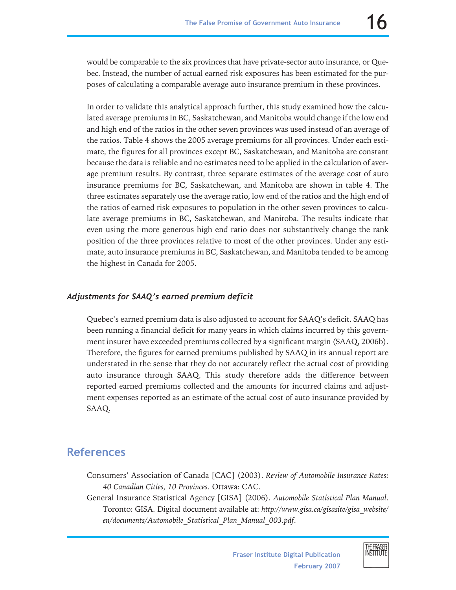would be comparable to the six provinces that have private-sector auto insurance, or Quebec. Instead, the number of actual earned risk exposures has been estimated for the purposes of calculating a comparable average auto insurance premium in these provinces.

In order to validate this analytical approach further, this study examined how the calculated average premiums in BC, Saskatchewan, and Manitoba would change if the low end and high end of the ratios in the other seven provinces was used instead of an average of the ratios. Table 4 shows the 2005 average premiums for all provinces. Under each estimate, the figures for all provinces except BC, Saskatchewan, and Manitoba are constant because the data is reliable and no estimates need to be applied in the calculation of average premium results. By contrast, three separate estimates of the average cost of auto insurance premiums for BC, Saskatchewan, and Manitoba are shown in table 4. The three estimates separately use the average ratio, low end of the ratios and the high end of the ratios of earned risk exposures to population in the other seven provinces to calculate average premiums in BC, Saskatchewan, and Manitoba. The results indicate that even using the more generous high end ratio does not substantively change the rank position of the three provinces relative to most of the other provinces. Under any estimate, auto insurance premiums in BC, Saskatchewan, and Manitoba tended to be among the highest in Canada for 2005.

### *Adjustments for SAAQ's earned premium deficit*

Quebec's earned premium data is also adjusted to account for SAAQ's deficit. SAAQ has been running a financial deficit for many years in which claims incurred by this government insurer have exceeded premiums collected by a significant margin (SAAQ, 2006b). Therefore, the figures for earned premiums published by SAAQ in its annual report are understated in the sense that they do not accurately reflect the actual cost of providing auto insurance through SAAQ. This study therefore adds the difference between reported earned premiums collected and the amounts for incurred claims and adjustment expenses reported as an estimate of the actual cost of auto insurance provided by SAAQ.

## **References**

- Consumers' Association of Canada [CAC] (2003). *Review of Automobile Insurance Rates: 40 Canadian Cities, 10 Provinces*. Ottawa: CAC.
- General Insurance Statistical Agency [GISA] (2006). *Automobile Statistical Plan Manual*. Toronto: GISA. Digital document available at: *http://www.gisa.ca/gisasite/gisa\_website/ en/documents/Automobile\_Statistical\_Plan\_Manual\_003.pdf.*

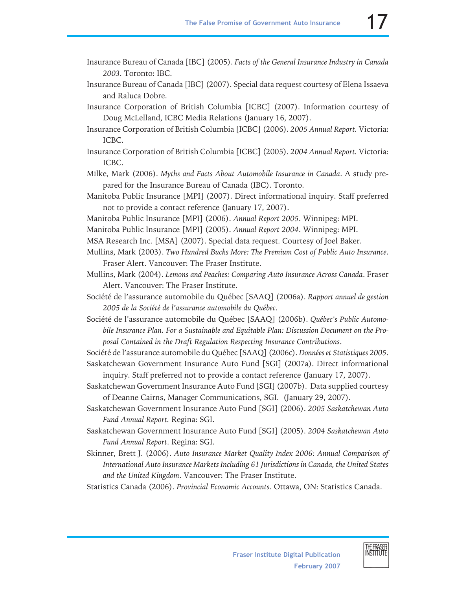- Insurance Bureau of Canada [IBC] (2005). *Facts of the General Insurance Industry in Canada 2003.* Toronto: IBC.
- Insurance Bureau of Canada [IBC] (2007). Special data request courtesy of Elena Issaeva and Raluca Dobre.
- Insurance Corporation of British Columbia [ICBC] (2007). Information courtesy of Doug McLelland, ICBC Media Relations (January 16, 2007).
- Insurance Corporation of British Columbia [ICBC] (2006). *2005 Annual Report.* Victoria: ICBC.
- Insurance Corporation of British Columbia [ICBC] (2005). *2004 Annual Report.* Victoria: ICBC.
- Milke, Mark (2006). *Myths and Facts About Automobile Insurance in Canada*. A study prepared for the Insurance Bureau of Canada (IBC). Toronto.
- Manitoba Public Insurance [MPI] (2007). Direct informational inquiry. Staff preferred not to provide a contact reference (January 17, 2007).
- Manitoba Public Insurance [MPI] (2006). *Annual Report 2005*. Winnipeg: MPI.
- Manitoba Public Insurance [MPI] (2005). *Annual Report 2004*. Winnipeg: MPI.
- MSA Research Inc. [MSA] (2007). Special data request. Courtesy of Joel Baker.
- Mullins, Mark (2003). *Two Hundred Bucks More: The Premium Cost of Public Auto Insurance*. Fraser Alert. Vancouver: The Fraser Institute.
- Mullins, Mark (2004). *Lemons and Peaches: Comparing Auto Insurance Across Canada*. Fraser Alert. Vancouver: The Fraser Institute.
- Société de l'assurance automobile du Québec [SAAQ] (2006a). *Rapport annuel de gestion 2005 de la Société de l'assurance automobile du Québec*.
- Société de l'assurance automobile du Québec [SAAQ] (2006b). *Québec's Public Automobile Insurance Plan. For a Sustainable and Equitable Plan: Discussion Document on the Proposal Contained in the Draft Regulation Respecting Insurance Contributions*.

Société de l'assurance automobile du Québec [SAAQ] (2006c). *Données et Statistiques 2005*. Saskatchewan Government Insurance Auto Fund [SGI] (2007a). Direct informational

- inquiry. Staff preferred not to provide a contact reference (January 17, 2007).
- Saskatchewan Government Insurance Auto Fund [SGI] (2007b). Data supplied courtesy of Deanne Cairns, Manager Communications, SGI. (January 29, 2007).
- Saskatchewan Government Insurance Auto Fund [SGI] (2006). *2005 Saskatchewan Auto Fund Annual Report.* Regina: SGI.
- Saskatchewan Government Insurance Auto Fund [SGI] (2005). *2004 Saskatchewan Auto Fund Annual Report*. Regina: SGI.
- Skinner, Brett J. (2006). *Auto Insurance Market Quality Index 2006: Annual Comparison of International Auto Insurance Markets Including 61 Jurisdictions in Canada, the United States and the United Kingdom*. Vancouver: The Fraser Institute.
- Statistics Canada (2006). *Provincial Economic Accounts*. Ottawa, ON: Statistics Canada.

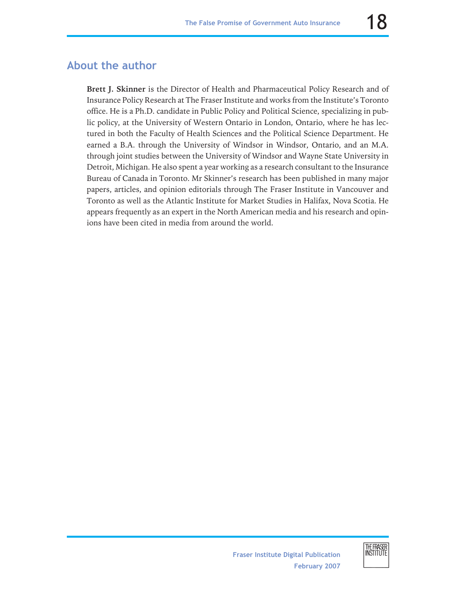## **About the author**

**Brett J. Skinner** is the Director of Health and Pharmaceutical Policy Research and of Insurance Policy Research at The Fraser Institute and works from the Institute's Toronto office. He is a Ph.D. candidate in Public Policy and Political Science, specializing in public policy, at the University of Western Ontario in London, Ontario, where he has lectured in both the Faculty of Health Sciences and the Political Science Department. He earned a B.A. through the University of Windsor in Windsor, Ontario, and an M.A. through joint studies between the University of Windsor and Wayne State University in Detroit, Michigan. He also spent a year working as a research consultant to the Insurance Bureau of Canada in Toronto. Mr Skinner's research has been published in many major papers, articles, and opinion editorials through The Fraser Institute in Vancouver and Toronto as well as the Atlantic Institute for Market Studies in Halifax, Nova Scotia. He appears frequently as an expert in the North American media and his research and opinions have been cited in media from around the world.

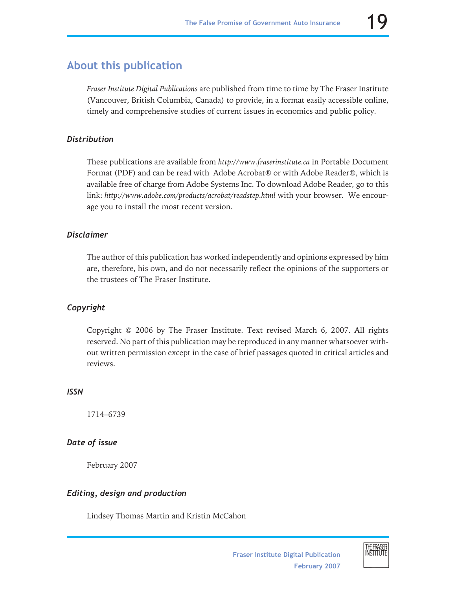# **About this publication**

*Fraser Institute Digital Publications* are published from time to time by The Fraser Institute (Vancouver, British Columbia, Canada) to provide, in a format easily accessible online, timely and comprehensive studies of current issues in economics and public policy.

### *Distribution*

These publications are available from *http://www.fraserinstitute.ca* in Portable Document Format (PDF) and can be read with Adobe Acrobat® or with Adobe Reader®, which is available free of charge from Adobe Systems Inc. To download Adobe Reader, go to this link: *http://www.adobe.com/products/acrobat/readstep.html* with your browser. We encourage you to install the most recent version.

### *Disclaimer*

The author of this publication has worked independently and opinions expressed by him are, therefore, his own, and do not necessarily reflect the opinions of the supporters or the trustees of The Fraser Institute.

### *Copyright*

Copyright © 2006 by The Fraser Institute. Text revised March 6, 2007. All rights reserved. No part of this publication may be reproduced in any manner whatsoever without written permission except in the case of brief passages quoted in critical articles and reviews.

#### *ISSN*

1714–6739

### *Date of issue*

February 2007

### *Editing, design and production*

Lindsey Thomas Martin and Kristin McCahon